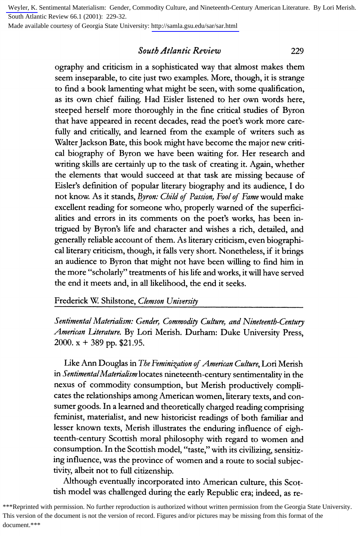[Weyler, K.](http://libres.uncg.edu/ir/uncg/clist.aspx?id=637) Sentimental Materialism: Gender, Commodity Culture, and Nineteenth-Century American Literature. By Lori Merish. South Atlantic Review 66.1 (2001): 229-32.

Made available courtesy of Georgia State University: <http://samla.gsu.edu/sar/sar.html>

## **South Atlantic Review**

**229** 

**ography and criticism in a sophisticated way that almost makes them seem inseparable, to cite just two examples. More, though, it is strange to find a book lamenting what might be seen, with some qualification, as its own chief failing. Had Eisler listened to her own words here, steeped herself more thoroughly in the fine critical studies of Byron that have appeared in recent decades, read the poet's work more carefully and critically, and learned from the example of writers such as**  Walter Jackson Bate, this book might have become the major new criti**cal biography of Byron we have been waiting for. Her research and writing skills are certainly up to the task of creating it. Again, whether the elements that would succeed at that task are missing because of Eisler's definition of popular literary biography and its audience, I do not know. As it stands, Byron: Child of Passion, Fool of Fame would make excellent reading for someone who, properly warned of the superficialities and errors in its comments on the poet's works, has been intrigued by Byron's life and character and wishes a rich, detailed, and generally reliable account of them. As literary criticism, even biographical literary criticism, though, it falls very short. Nonetheless, if it brings an audience to Byron that might not have been willing to find him in the more "scholarly" treatments of his life and works, it will have served the end it meets and, in all likelihood, the end it seeks.** 

**Frederick W. Shilstone, Clemson University** 

**Sentimental Materialism: Gender, Commodity Culture, and Nineteenth-Century American Literature. By Lori Merish. Durham: Duke University Press, 2000. x + 389 pp. \$21.95.** 

Like Ann Douglas in The Feminization of American Culture, Lori Merish **in SentimentalMaterialism locates nineteenth-century sentimentality in the nexus of commodity consumption, but Merish productively complicates the relationships among American women, literary texts, and consumer goods. In a learned and theoretically charged reading comprising feminist, materialist, and new historicist readings of both familiar and lesser known texts, Merish illustrates the enduring influence of eighteenth-century Scottish moral philosophy with regard to women and consumption. In the Scottish model, "taste," with its civilizing, sensitizing influence, was the province of women and a route to social subjectivity, albeit not to full citizenship.** 

**Although eventually incorporated into American culture, this Scottish model was challenged during the early Republic era; indeed, as re-**

\*\*\*Reprinted with permission. No further reproduction is authorized without written permission from the Georgia State University. This version of the document is not the version of record. Figures and/or pictures may be missing from this format of the document.\*\*\*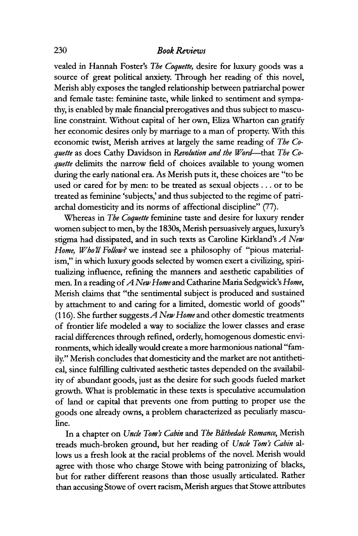**vealed in Hannah Foster's The Coquette, desire for luxury goods was a source of great political anxiety. Through her reading of this novel, Merish ably exposes the tangled relationship between patriarchal power and female taste: feminine taste, while linked to sentiment and sympathy, is enabled by male financial prerogatives and thus subject to masculine constraint. Without capital of her own, Eliza Wharton can gratify her economic desires only by marriage to a man of property. With this**  economic twist, Merish arrives at largely the same reading of The Co**quette as does Cathy Davidson in Revolution and the Word--that The Coquette delimits the narrow field of choices available to young women during the early national era. As Merish puts it, these choices are "to be used or cared for by men: to be treated as sexual objects ... or to be treated as feminine 'subjects,' and thus subjected to the regime of patriarchal domesticity and its norms of affectional discipline" (77).** 

**Whereas in The Coquette feminine taste and desire for luxury render women subject to men, by the 1830s, Merish persuasively argues, luxury's stigma had dissipated, and in such texts as Caroline Kirkland's A New**  Home, Who'll Follow? we instead see a philosophy of "pious material**ism," in which luxury goods selected by women exert a civilizing, spiritualizing influence, refining the manners and aesthetic capabilities of men. In a reading of A New Home and Catharine Maria Sedgwick's Home, Merish claims that "the sentimental subject is produced and sustained by attachment to and caring for a limited, domestic world of goods" (116). She further suggestsA New Home and other domestic treatments of frontier life modeled a way to socialize the lower classes and erase racial differences through refined, orderly, homogenous domestic environments, which ideally would create a more harmonious national "family." Merish concludes that domesticity and the market are not antithetical, since fulfilling cultivated aesthetic tastes depended on the availability of abundant goods, just as the desire for such goods fueled market growth. What is problematic in these texts is speculative accumulation of land or capital that prevents one from putting to proper use the goods one already owns, a problem characterized as peculiarly masculine.** 

**In a chapter on Uncle Tom's Cabin and The Blithedae Romance, Merish**  treads much-broken ground, but her reading of Uncle Tom's Cabin al**lows us a fresh look at the racial problems of the novel. Merish would agree with those who charge Stowe with being patronizing of blacks, but for rather different reasons than those usually articulated. Rather than accusing Stowe of overt racism, Merish argues that Stowe attributes**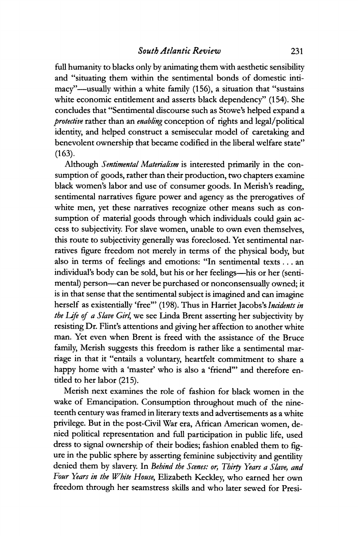**full humanity to blacks only by animating them with aesthetic sensibility and "situating them within the sentimental bonds of domestic intimacy"-usually within a white family (156), a situation that "sustains white economic entitlement and asserts black dependency" (154). She concludes that "Sentimental discourse such as Stowe's helped expand a protective rather than an enabling conception of rights and legal/political identity, and helped construct a semisecular model of caretaking and benevolent ownership that became codified in the liberal welfare state" (163).** 

**Although Sentimental Materialism is interested primarily in the consumption of goods, rather than their production, two chapters examine black women's labor and use of consumer goods. In Merish's reading, sentimental narratives figure power and agency as the prerogatives of white men, yet these narratives recognize other means such as consumption of material goods through which individuals could gain access to subjectivity. For slave women, unable to own even themselves, this route to subjectivity generally was foreclosed. Yet sentimental narratives figure freedom not merely in terms of the physical body, but also in terms of feelings and emotions: "In sentimental texts... an**  individual's body can be sold, but his or her feelings-his or her (sentimental) person-can never be purchased or nonconsensually owned; it **is in that sense that the sentimental subject is imagined and can imagine**  herself as existentially 'free"' (198). Thus in Harriet Jacobs's *Incidents in* **the Life of a Slave Girl, we see Linda Brent asserting her subjectivity by resisting Dr. Flint's attentions and giving her affection to another white man. Yet even when Brent is freed with the assistance of the Bruce family, Merish suggests this freedom is rather like a sentimental marriage in that it "entails a voluntary, heartfelt commitment to share a happy home with a 'master' who is also a 'friend"' and therefore entitled to her labor (215).** 

**Merish next examines the role of fashion for black women in the wake of Emancipation. Consumption throughout much of the nineteenth century was framed in literary texts and advertisements as a white privilege. But in the post-Civil War era, African American women, denied political representation and full participation in public life, used dress to signal ownership of their bodies; fashion enabled them to figure in the public sphere by asserting feminine subjectivity and gentility denied them by slavery. In Behind the Scenes: or, Thirty Years a Slave, and Four Years in the White House, Elizabeth Keckley, who earned her own freedom through her seamstress skills and who later sewed for Presi-**